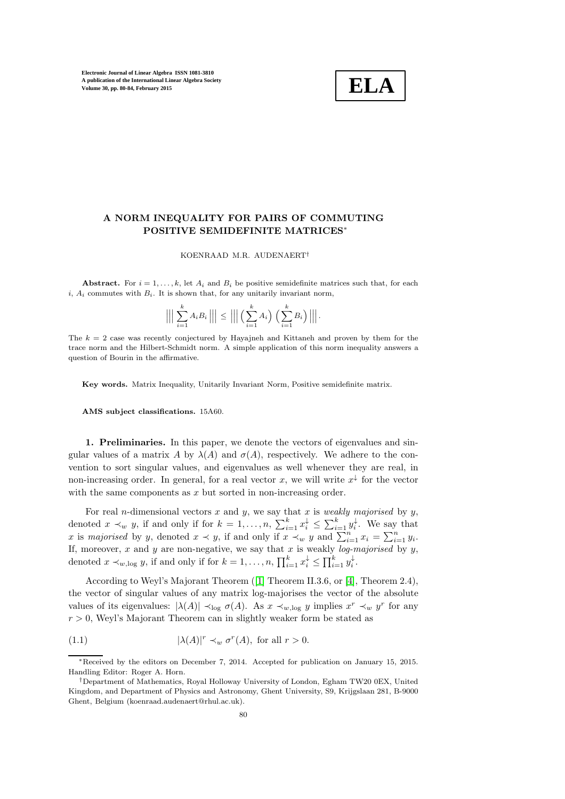

## A NORM INEQUALITY FOR PAIRS OF COMMUTING POSITIVE SEMIDEFINITE MATRICES<sup>∗</sup>

KOENRAAD M.R. AUDENAERT†

Abstract. For  $i = 1, ..., k$ , let  $A_i$  and  $B_i$  be positive semidefinite matrices such that, for each i,  $A_i$  commutes with  $B_i$ . It is shown that, for any unitarily invariant norm,

$$
\Big|\Big|\Big|\sum_{i=1}^k A_i B_i\Big|\Big|\Big|\leq\Big|\Big|\Big|\Big(\sum_{i=1}^k A_i\Big)\,\Big(\sum_{i=1}^k B_i\Big)\Big|\Big|\Big|.
$$

The  $k = 2$  case was recently conjectured by Hayajneh and Kittaneh and proven by them for the trace norm and the Hilbert-Schmidt norm. A simple application of this norm inequality answers a question of Bourin in the affirmative.

Key words. Matrix Inequality, Unitarily Invariant Norm, Positive semidefinite matrix.

AMS subject classifications. 15A60.

1. Preliminaries. In this paper, we denote the vectors of eigenvalues and singular values of a matrix A by  $\lambda(A)$  and  $\sigma(A)$ , respectively. We adhere to the convention to sort singular values, and eigenvalues as well whenever they are real, in non-increasing order. In general, for a real vector x, we will write  $x^{\downarrow}$  for the vector with the same components as  $x$  but sorted in non-increasing order.

For real *n*-dimensional vectors  $x$  and  $y$ , we say that  $x$  is *weakly majorised* by  $y$ , denoted  $x \prec_w y$ , if and only if for  $k = 1, \ldots, n$ ,  $\sum_{i=1}^k x_i^{\downarrow} \leq \sum_{i=1}^k y_i^{\downarrow}$ . We say that x is majorised by y, denoted  $x \prec y$ , if and only if  $x \prec_w y$  and  $\sum_{i=1}^n x_i = \sum_{i=1}^n y_i$ . If, moreover, x and y are non-negative, we say that x is weakly log-majorised by y, denoted  $x \prec_{w, \log} y$ , if and only if for  $k = 1, \ldots, n$ ,  $\prod_{i=1}^{k} x_i^{\downarrow} \leq \prod_{i=1}^{k} y_i^{\downarrow}$ .

According to Weyl's Majorant Theorem ([\[1\]](#page-4-0) Theorem II.3.6, or [\[4\]](#page-4-1), Theorem 2.4), the vector of singular values of any matrix log-majorises the vector of the absolute values of its eigenvalues:  $|\lambda(A)| \prec_{\text{log}} \sigma(A)$ . As  $x \prec_{w,\text{log}} y$  implies  $x^r \prec_w y^r$  for any  $r > 0$ , Weyl's Majorant Theorem can in slightly weaker form be stated as

<span id="page-0-0"></span>(1.1) 
$$
|\lambda(A)|^r \prec_w \sigma^r(A), \text{ for all } r > 0.
$$

<sup>∗</sup>Received by the editors on December 7, 2014. Accepted for publication on January 15, 2015. Handling Editor: Roger A. Horn.

<sup>†</sup>Department of Mathematics, Royal Holloway University of London, Egham TW20 0EX, United Kingdom, and Department of Physics and Astronomy, Ghent University, S9, Krijgslaan 281, B-9000 Ghent, Belgium (koenraad.audenaert@rhul.ac.uk).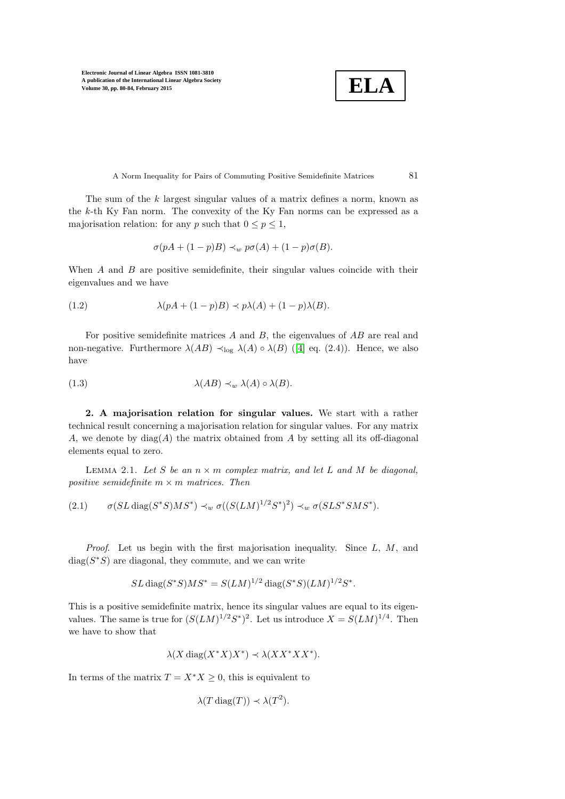**ELA**

A Norm Inequality for Pairs of Commuting Positive Semidefinite Matrices 81

The sum of the k largest singular values of a matrix defines a norm, known as the k-th Ky Fan norm. The convexity of the Ky Fan norms can be expressed as a majorisation relation: for any p such that  $0 \le p \le 1$ ,

<span id="page-1-0"></span>
$$
\sigma(pA + (1-p)B) \prec_w p\sigma(A) + (1-p)\sigma(B).
$$

When  $A$  and  $B$  are positive semidefinite, their singular values coincide with their eigenvalues and we have

(1.2) 
$$
\lambda (pA + (1-p)B) \prec p\lambda (A) + (1-p)\lambda (B).
$$

For positive semidefinite matrices  $A$  and  $B$ , the eigenvalues of  $AB$  are real and non-negative. Furthermore  $\lambda(AB) \prec_{\text{log}} \lambda(A) \circ \lambda(B)$  ([\[4\]](#page-4-1) eq. (2.4)). Hence, we also have

<span id="page-1-1"></span>(1.3) 
$$
\lambda(AB) \prec_w \lambda(A) \circ \lambda(B).
$$

2. A majorisation relation for singular values. We start with a rather technical result concerning a majorisation relation for singular values. For any matrix A, we denote by  $\text{diag}(A)$  the matrix obtained from A by setting all its off-diagonal elements equal to zero.

<span id="page-1-3"></span>LEMMA 2.1. Let S be an  $n \times m$  complex matrix, and let L and M be diagonal, positive semidefinite  $m \times m$  matrices. Then

<span id="page-1-2"></span>
$$
(2.1) \qquad \sigma(SL\operatorname{diag}(S^*S)MS^*) \prec_w \sigma((S(LM)^{1/2}S^*)^2) \prec_w \sigma(SLS^*SMS^*).
$$

*Proof.* Let us begin with the first majorisation inequality. Since  $L, M$ , and  $diag(S^*S)$  are diagonal, they commute, and we can write

$$
SL \operatorname{diag}(S^*S)MS^* = S(LM)^{1/2} \operatorname{diag}(S^*S)(LM)^{1/2}S^*.
$$

This is a positive semidefinite matrix, hence its singular values are equal to its eigenvalues. The same is true for  $(S(LM)^{1/2}S^*)^2$ . Let us introduce  $X = S(LM)^{1/4}$ . Then we have to show that

$$
\lambda(X \operatorname{diag}(X^*X)X^*) \prec \lambda(XX^*XX^*).
$$

In terms of the matrix  $T = X^*X \geq 0$ , this is equivalent to

$$
\lambda(T \operatorname{diag}(T)) \prec \lambda(T^2).
$$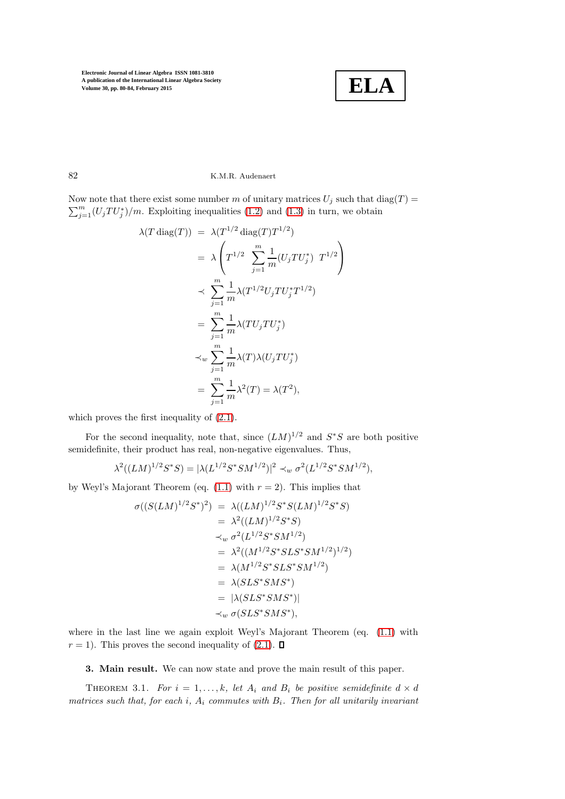

82 K.M.R. Audenaert

Now note that there exist some number m of unitary matrices  $U_j$  such that  $diag(T) =$  $\sum_{j=1}^{m} (U_j T U_j^*)/m$ . Exploiting inequalities [\(1.2\)](#page-1-0) and [\(1.3\)](#page-1-1) in turn, we obtain

$$
\lambda(T \operatorname{diag}(T)) = \lambda(T^{1/2} \operatorname{diag}(T) T^{1/2})
$$
  
\n
$$
= \lambda \left( T^{1/2} \sum_{j=1}^{m} \frac{1}{m} (U_j T U_j^*) T^{1/2} \right)
$$
  
\n
$$
\times \sum_{j=1}^{m} \frac{1}{m} \lambda(T^{1/2} U_j T U_j^* T^{1/2})
$$
  
\n
$$
= \sum_{j=1}^{m} \frac{1}{m} \lambda(T U_j T U_j^*)
$$
  
\n
$$
\times_w \sum_{j=1}^{m} \frac{1}{m} \lambda(T) \lambda(U_j T U_j^*)
$$
  
\n
$$
= \sum_{j=1}^{m} \frac{1}{m} \lambda^2(T) = \lambda(T^2),
$$

which proves the first inequality of  $(2.1)$ .

For the second inequality, note that, since  $(LM)^{1/2}$  and  $S^*S$  are both positive semidefinite, their product has real, non-negative eigenvalues. Thus,

$$
\lambda^{2}((LM)^{1/2}S^{*}S) = |\lambda(L^{1/2}S^{*}SM^{1/2})|^{2} \prec_{w} \sigma^{2}(L^{1/2}S^{*}SM^{1/2}),
$$

by Weyl's Majorant Theorem (eq.  $(1.1)$  with  $r = 2$ ). This implies that

$$
\sigma((S(LM)^{1/2}S^*)^2) = \lambda((LM)^{1/2}S^*S(LM)^{1/2}S^*S)
$$
  
\n
$$
= \lambda^2((LM)^{1/2}S^*S)
$$
  
\n
$$
\prec_w \sigma^2(L^{1/2}S^*SM^{1/2})
$$
  
\n
$$
= \lambda^2((M^{1/2}S^*SLS^*SM^{1/2})^{1/2})
$$
  
\n
$$
= \lambda(M^{1/2}S^*SLS^*SM^{1/2})
$$
  
\n
$$
= \lambda(SLS^*SMS^*)
$$
  
\n
$$
= |\lambda(SLS^*SMS^*)|
$$
  
\n
$$
\prec_w \sigma(SLS^*SMS^*),
$$

where in the last line we again exploit Weyl's Majorant Theorem (eq. [\(1.1\)](#page-0-0) with  $r = 1$ ). This proves the second inequality of [\(2.1\)](#page-1-2).  $\Box$ 

<span id="page-2-0"></span>3. Main result. We can now state and prove the main result of this paper.

THEOREM 3.1. For  $i = 1, ..., k$ , let  $A_i$  and  $B_i$  be positive semidefinite  $d \times d$ matrices such that, for each i,  $A_i$  commutes with  $B_i$ . Then for all unitarily invariant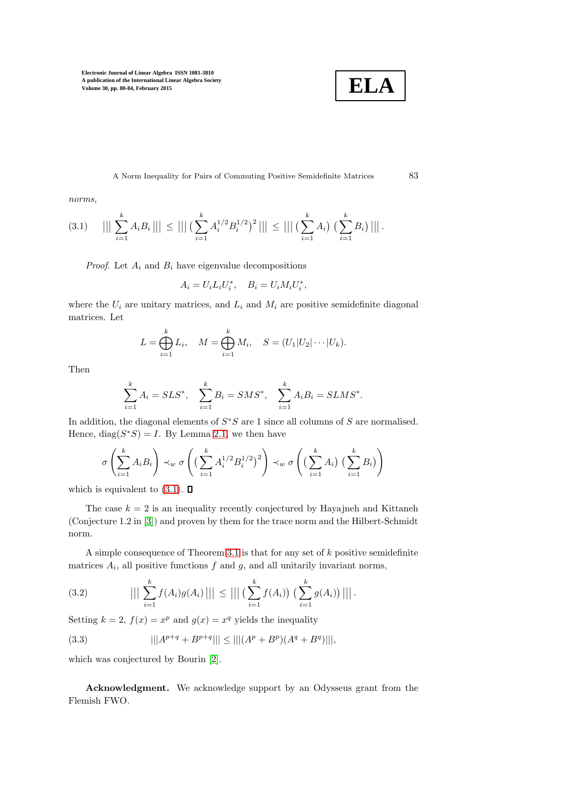

A Norm Inequality for Pairs of Commuting Positive Semidefinite Matrices 83

norms,

<span id="page-3-0"></span>
$$
(3.1) \quad ||| \sum_{i=1}^k A_i B_i ||| \le ||| \left( \sum_{i=1}^k A_i^{1/2} B_i^{1/2} \right)^2 ||| \le ||| \left( \sum_{i=1}^k A_i \right) \left( \sum_{i=1}^k B_i \right) |||.
$$

*Proof.* Let  $A_i$  and  $B_i$  have eigenvalue decompositions

$$
A_i = U_i L_i U_i^*, \quad B_i = U_i M_i U_i^*,
$$

where the  $U_i$  are unitary matrices, and  $L_i$  and  $M_i$  are positive semidefinite diagonal matrices. Let

$$
L = \bigoplus_{i=1}^{k} L_i, \quad M = \bigoplus_{i=1}^{k} M_i, \quad S = (U_1 | U_2 | \cdots | U_k).
$$

Then

$$
\sum_{i=1}^{k} A_i = SLS^*, \quad \sum_{i=1}^{k} B_i = SMS^*, \quad \sum_{i=1}^{k} A_i B_i = SIMS^*.
$$

In addition, the diagonal elements of  $S^*S$  are 1 since all columns of S are normalised. Hence,  $diag(S^*S) = I$ . By Lemma [2.1,](#page-1-3) we then have

$$
\sigma\left(\sum_{i=1}^k A_i B_i\right) \prec_w \sigma\left(\left(\sum_{i=1}^k A_i^{1/2} B_i^{1/2}\right)^2\right) \prec_w \sigma\left(\left(\sum_{i=1}^k A_i\right) \left(\sum_{i=1}^k B_i\right)\right)
$$

which is equivalent to  $(3.1)$ .  $\Box$ 

The case  $k = 2$  is an inequality recently conjectured by Hayajneh and Kittaneh (Conjecture 1.2 in [\[3\]](#page-4-2)) and proven by them for the trace norm and the Hilbert-Schmidt norm.

A simple consequence of Theorem [3.1](#page-2-0) is that for any set of  $k$  positive semidefinite matrices  $A_i$ , all positive functions  $f$  and  $g$ , and all unitarily invariant norms,

(3.2) 
$$
||| \sum_{i=1}^{k} f(A_i)g(A_i)||| \leq ||| \left( \sum_{i=1}^{k} f(A_i) \right) \left( \sum_{i=1}^{k} g(A_i) \right) |||.
$$

Setting  $k = 2$ ,  $f(x) = x^p$  and  $g(x) = x^q$  yields the inequality

(3.3) 
$$
|||A^{p+q} + B^{p+q}||| \le |||(A^p + B^p)(A^q + B^q)|||,
$$

which was conjectured by Bourin [\[2\]](#page-4-3).

Acknowledgment. We acknowledge support by an Odysseus grant from the Flemish FWO.